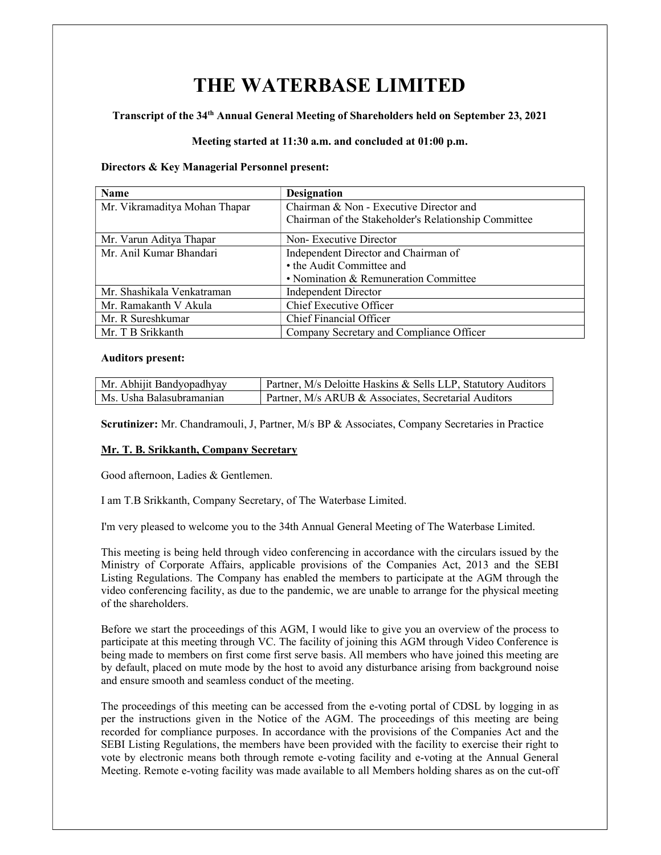# THE WATERBASE LIMITED

## Transcript of the 34th Annual General Meeting of Shareholders held on September 23, 2021

## Meeting started at 11:30 a.m. and concluded at 01:00 p.m.

#### Directors & Key Managerial Personnel present:

| Name                          | <b>Designation</b>                                   |
|-------------------------------|------------------------------------------------------|
| Mr. Vikramaditya Mohan Thapar | Chairman & Non - Executive Director and              |
|                               | Chairman of the Stakeholder's Relationship Committee |
| Mr. Varun Aditya Thapar       | Non-Executive Director                               |
| Mr. Anil Kumar Bhandari       | Independent Director and Chairman of                 |
|                               | • the Audit Committee and                            |
|                               | • Nomination & Remuneration Committee                |
| Mr. Shashikala Venkatraman    | Independent Director                                 |
| Mr. Ramakanth V Akula         | Chief Executive Officer                              |
| Mr. R Sureshkumar             | Chief Financial Officer                              |
| Mr. T B Srikkanth             | Company Secretary and Compliance Officer             |

#### Auditors present:

| Mr. Abhijit Bandyopadhyay | Partner, M/s Deloitte Haskins & Sells LLP, Statutory Auditors |
|---------------------------|---------------------------------------------------------------|
| Ms. Usha Balasubramanian  | $\mid$ Partner, M/s ARUB & Associates, Secretarial Auditors   |

Scrutinizer: Mr. Chandramouli, J, Partner, M/s BP & Associates, Company Secretaries in Practice

## Mr. T. B. Srikkanth, Company Secretary

Good afternoon, Ladies & Gentlemen.

I am T.B Srikkanth, Company Secretary, of The Waterbase Limited.

I'm very pleased to welcome you to the 34th Annual General Meeting of The Waterbase Limited.

This meeting is being held through video conferencing in accordance with the circulars issued by the Ministry of Corporate Affairs, applicable provisions of the Companies Act, 2013 and the SEBI Listing Regulations. The Company has enabled the members to participate at the AGM through the video conferencing facility, as due to the pandemic, we are unable to arrange for the physical meeting of the shareholders.

Before we start the proceedings of this AGM, I would like to give you an overview of the process to participate at this meeting through VC. The facility of joining this AGM through Video Conference is being made to members on first come first serve basis. All members who have joined this meeting are by default, placed on mute mode by the host to avoid any disturbance arising from background noise and ensure smooth and seamless conduct of the meeting.

The proceedings of this meeting can be accessed from the e-voting portal of CDSL by logging in as per the instructions given in the Notice of the AGM. The proceedings of this meeting are being recorded for compliance purposes. In accordance with the provisions of the Companies Act and the SEBI Listing Regulations, the members have been provided with the facility to exercise their right to vote by electronic means both through remote e-voting facility and e-voting at the Annual General Meeting. Remote e-voting facility was made available to all Members holding shares as on the cut-off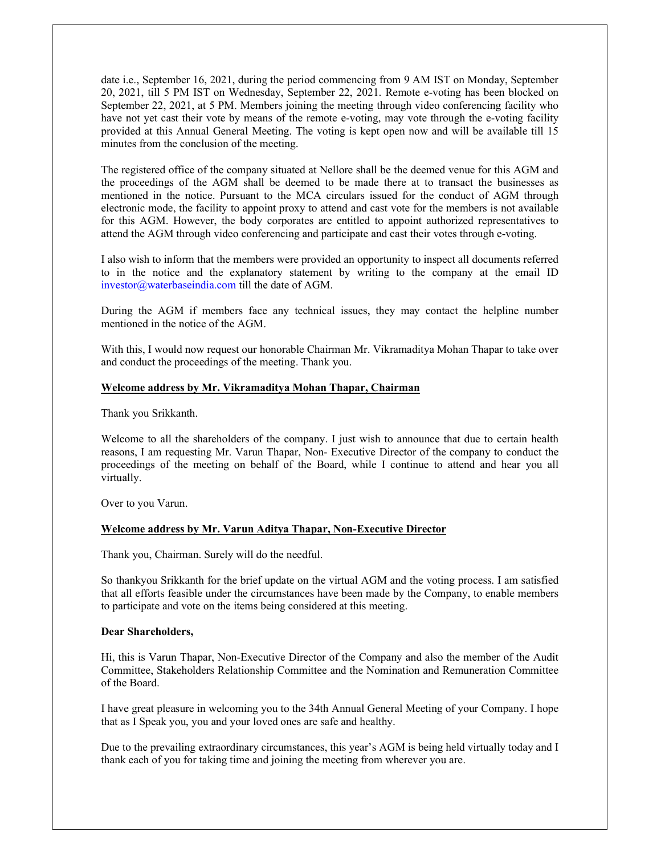date i.e., September 16, 2021, during the period commencing from 9 AM IST on Monday, September 20, 2021, till 5 PM IST on Wednesday, September 22, 2021. Remote e-voting has been blocked on September 22, 2021, at 5 PM. Members joining the meeting through video conferencing facility who have not yet cast their vote by means of the remote e-voting, may vote through the e-voting facility provided at this Annual General Meeting. The voting is kept open now and will be available till 15 minutes from the conclusion of the meeting.

The registered office of the company situated at Nellore shall be the deemed venue for this AGM and the proceedings of the AGM shall be deemed to be made there at to transact the businesses as mentioned in the notice. Pursuant to the MCA circulars issued for the conduct of AGM through electronic mode, the facility to appoint proxy to attend and cast vote for the members is not available for this AGM. However, the body corporates are entitled to appoint authorized representatives to attend the AGM through video conferencing and participate and cast their votes through e-voting.

I also wish to inform that the members were provided an opportunity to inspect all documents referred to in the notice and the explanatory statement by writing to the company at the email ID investor@waterbaseindia.com till the date of AGM.

During the AGM if members face any technical issues, they may contact the helpline number mentioned in the notice of the AGM

With this, I would now request our honorable Chairman Mr. Vikramaditya Mohan Thapar to take over and conduct the proceedings of the meeting. Thank you.

## Welcome address by Mr. Vikramaditya Mohan Thapar, Chairman

Thank you Srikkanth.

Welcome to all the shareholders of the company. I just wish to announce that due to certain health reasons, I am requesting Mr. Varun Thapar, Non- Executive Director of the company to conduct the proceedings of the meeting on behalf of the Board, while I continue to attend and hear you all virtually.

Over to you Varun.

#### Welcome address by Mr. Varun Aditya Thapar, Non-Executive Director

Thank you, Chairman. Surely will do the needful.

So thankyou Srikkanth for the brief update on the virtual AGM and the voting process. I am satisfied that all efforts feasible under the circumstances have been made by the Company, to enable members to participate and vote on the items being considered at this meeting.

#### Dear Shareholders,

Hi, this is Varun Thapar, Non-Executive Director of the Company and also the member of the Audit Committee, Stakeholders Relationship Committee and the Nomination and Remuneration Committee of the Board.

I have great pleasure in welcoming you to the 34th Annual General Meeting of your Company. I hope that as I Speak you, you and your loved ones are safe and healthy.

Due to the prevailing extraordinary circumstances, this year's AGM is being held virtually today and I thank each of you for taking time and joining the meeting from wherever you are.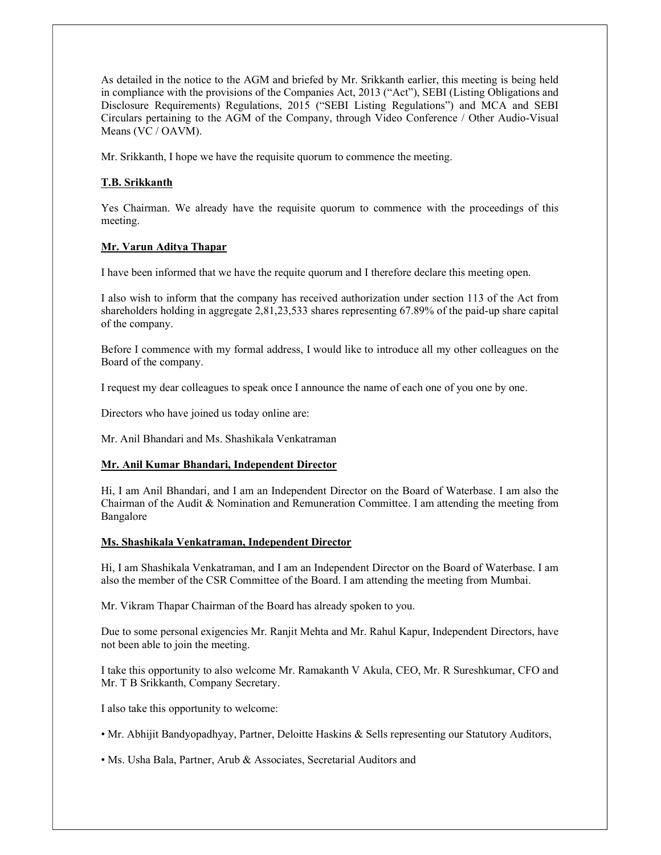As detailed in the notice to the AGM and briefed by Mr. Srikkanth earlier, this meeting is being held in compliance with the provisions of the Companies Act, 2013 ("Act"), SEBI (Listing Obligations and Disclosure Requirements) Regulations, 2015 ("SEBI Listing Regulations") and MCA and SEBI Circulars pertaining to the AGM of the Company, through Video Conference / Other Audio-Visual Means (VC / OAVM).

Mr. Srikkanth, I hope we have the requisite quorum to commence the meeting.

## T.B. Srikkanth

Yes Chairman. We already have the requisite quorum to commence with the proceedings of this meeting.

# Mr. Varun Aditya Thapar

I have been informed that we have the requite quorum and I therefore declare this meeting open.

I also wish to inform that the company has received authorization under section 113 of the Act from shareholders holding in aggregate 2,81,23,533 shares representing 67.89% of the paid-up share capital of the company.

Before I commence with my formal address, I would like to introduce all my other colleagues on the Board of the company.

I request my dear colleagues to speak once I announce the name of each one of you one by one.

Directors who have joined us today online are:

Mr. Anil Bhandari and Ms. Shashikala Venkatraman

## Mr. Anil Kumar Bhandari, Independent Director

Hi, I am Anil Bhandari, and I am an Independent Director on the Board of Waterbase. I am also the Chairman of the Audit & Nomination and Remuneration Committee. I am attending the meeting from Bangalore

#### Ms. Shashikala Venkatraman, Independent Director

Hi, I am Shashikala Venkatraman, and I am an Independent Director on the Board of Waterbase. I am also the member of the CSR Committee of the Board. I am attending the meeting from Mumbai.

Mr. Vikram Thapar Chairman of the Board has already spoken to you.

Due to some personal exigencies Mr. Ranjit Mehta and Mr. Rahul Kapur, Independent Directors, have not been able to join the meeting.

I take this opportunity to also welcome Mr. Ramakanth V Akula, CEO, Mr. R Sureshkumar, CFO and Mr. T B Srikkanth, Company Secretary.

I also take this opportunity to welcome:

• Mr. Abhijit Bandyopadhyay, Partner, Deloitte Haskins & Sells representing our Statutory Auditors,

• Ms. Usha Bala, Partner, Arub & Associates, Secretarial Auditors and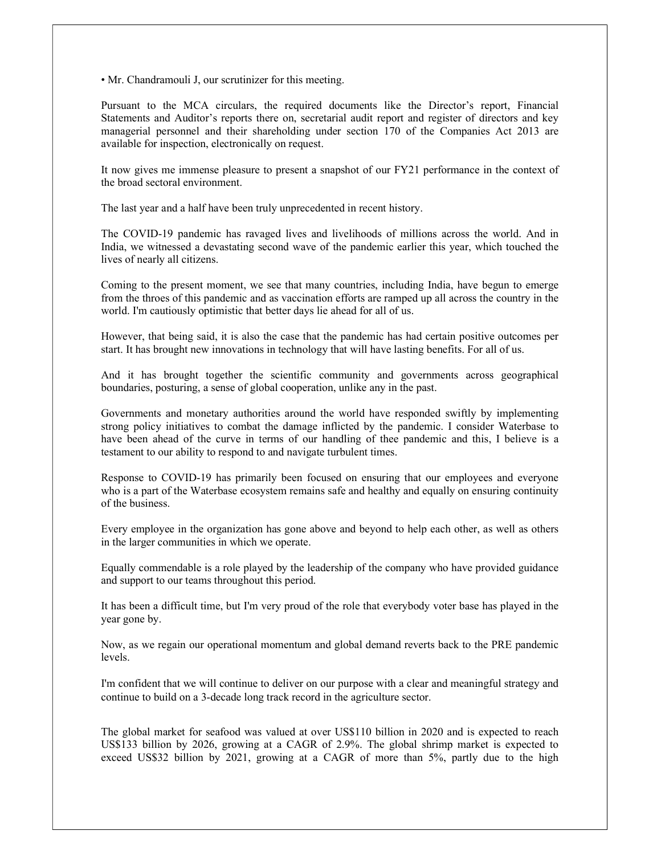• Mr. Chandramouli J, our scrutinizer for this meeting.

Pursuant to the MCA circulars, the required documents like the Director's report, Financial Statements and Auditor's reports there on, secretarial audit report and register of directors and key managerial personnel and their shareholding under section 170 of the Companies Act 2013 are available for inspection, electronically on request.

It now gives me immense pleasure to present a snapshot of our FY21 performance in the context of the broad sectoral environment.

The last year and a half have been truly unprecedented in recent history.

The COVID-19 pandemic has ravaged lives and livelihoods of millions across the world. And in India, we witnessed a devastating second wave of the pandemic earlier this year, which touched the lives of nearly all citizens.

Coming to the present moment, we see that many countries, including India, have begun to emerge from the throes of this pandemic and as vaccination efforts are ramped up all across the country in the world. I'm cautiously optimistic that better days lie ahead for all of us.

However, that being said, it is also the case that the pandemic has had certain positive outcomes per start. It has brought new innovations in technology that will have lasting benefits. For all of us.

And it has brought together the scientific community and governments across geographical boundaries, posturing, a sense of global cooperation, unlike any in the past.

Governments and monetary authorities around the world have responded swiftly by implementing strong policy initiatives to combat the damage inflicted by the pandemic. I consider Waterbase to have been ahead of the curve in terms of our handling of thee pandemic and this, I believe is a testament to our ability to respond to and navigate turbulent times.

Response to COVID-19 has primarily been focused on ensuring that our employees and everyone who is a part of the Waterbase ecosystem remains safe and healthy and equally on ensuring continuity of the business.

Every employee in the organization has gone above and beyond to help each other, as well as others in the larger communities in which we operate.

Equally commendable is a role played by the leadership of the company who have provided guidance and support to our teams throughout this period.

It has been a difficult time, but I'm very proud of the role that everybody voter base has played in the year gone by.

Now, as we regain our operational momentum and global demand reverts back to the PRE pandemic levels.

I'm confident that we will continue to deliver on our purpose with a clear and meaningful strategy and continue to build on a 3-decade long track record in the agriculture sector.

The global market for seafood was valued at over US\$110 billion in 2020 and is expected to reach US\$133 billion by 2026, growing at a CAGR of 2.9%. The global shrimp market is expected to exceed US\$32 billion by 2021, growing at a CAGR of more than 5%, partly due to the high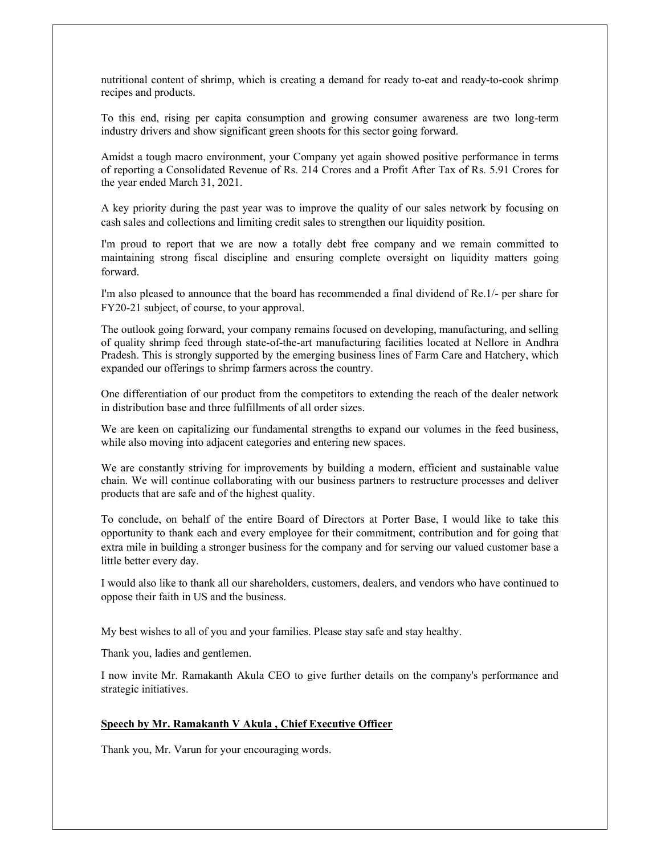nutritional content of shrimp, which is creating a demand for ready to-eat and ready-to-cook shrimp recipes and products.

To this end, rising per capita consumption and growing consumer awareness are two long‑term industry drivers and show significant green shoots for this sector going forward.

Amidst a tough macro environment, your Company yet again showed positive performance in terms of reporting a Consolidated Revenue of Rs. 214 Crores and a Profit After Tax of Rs. 5.91 Crores for the year ended March 31, 2021.

A key priority during the past year was to improve the quality of our sales network by focusing on cash sales and collections and limiting credit sales to strengthen our liquidity position.

I'm proud to report that we are now a totally debt free company and we remain committed to maintaining strong fiscal discipline and ensuring complete oversight on liquidity matters going forward.

I'm also pleased to announce that the board has recommended a final dividend of Re.1/- per share for FY20-21 subject, of course, to your approval.

The outlook going forward, your company remains focused on developing, manufacturing, and selling of quality shrimp feed through state-of-the-art manufacturing facilities located at Nellore in Andhra Pradesh. This is strongly supported by the emerging business lines of Farm Care and Hatchery, which expanded our offerings to shrimp farmers across the country.

One differentiation of our product from the competitors to extending the reach of the dealer network in distribution base and three fulfillments of all order sizes.

We are keen on capitalizing our fundamental strengths to expand our volumes in the feed business, while also moving into adjacent categories and entering new spaces.

We are constantly striving for improvements by building a modern, efficient and sustainable value chain. We will continue collaborating with our business partners to restructure processes and deliver products that are safe and of the highest quality.

To conclude, on behalf of the entire Board of Directors at Porter Base, I would like to take this opportunity to thank each and every employee for their commitment, contribution and for going that extra mile in building a stronger business for the company and for serving our valued customer base a little better every day.

I would also like to thank all our shareholders, customers, dealers, and vendors who have continued to oppose their faith in US and the business.

My best wishes to all of you and your families. Please stay safe and stay healthy.

Thank you, ladies and gentlemen.

I now invite Mr. Ramakanth Akula CEO to give further details on the company's performance and strategic initiatives.

## Speech by Mr. Ramakanth V Akula , Chief Executive Officer

Thank you, Mr. Varun for your encouraging words.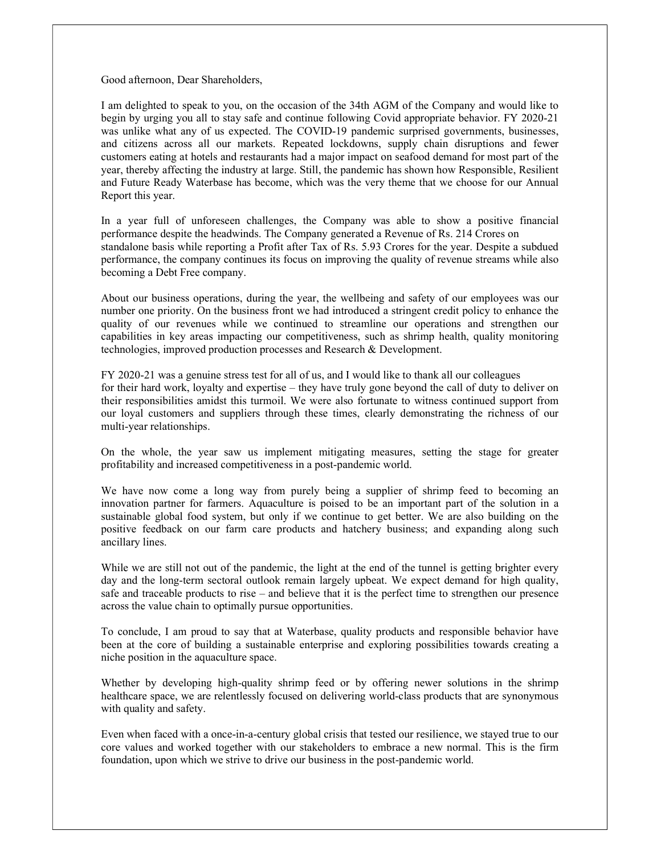Good afternoon, Dear Shareholders,

I am delighted to speak to you, on the occasion of the 34th AGM of the Company and would like to begin by urging you all to stay safe and continue following Covid appropriate behavior. FY 2020-21 was unlike what any of us expected. The COVID-19 pandemic surprised governments, businesses, and citizens across all our markets. Repeated lockdowns, supply chain disruptions and fewer customers eating at hotels and restaurants had a major impact on seafood demand for most part of the year, thereby affecting the industry at large. Still, the pandemic has shown how Responsible, Resilient and Future Ready Waterbase has become, which was the very theme that we choose for our Annual Report this year.

In a year full of unforeseen challenges, the Company was able to show a positive financial performance despite the headwinds. The Company generated a Revenue of Rs. 214 Crores on standalone basis while reporting a Profit after Tax of Rs. 5.93 Crores for the year. Despite a subdued performance, the company continues its focus on improving the quality of revenue streams while also becoming a Debt Free company.

About our business operations, during the year, the wellbeing and safety of our employees was our number one priority. On the business front we had introduced a stringent credit policy to enhance the quality of our revenues while we continued to streamline our operations and strengthen our capabilities in key areas impacting our competitiveness, such as shrimp health, quality monitoring technologies, improved production processes and Research & Development.

FY 2020-21 was a genuine stress test for all of us, and I would like to thank all our colleagues for their hard work, loyalty and expertise – they have truly gone beyond the call of duty to deliver on their responsibilities amidst this turmoil. We were also fortunate to witness continued support from our loyal customers and suppliers through these times, clearly demonstrating the richness of our multi-year relationships.

On the whole, the year saw us implement mitigating measures, setting the stage for greater profitability and increased competitiveness in a post-pandemic world.

We have now come a long way from purely being a supplier of shrimp feed to becoming an innovation partner for farmers. Aquaculture is poised to be an important part of the solution in a sustainable global food system, but only if we continue to get better. We are also building on the positive feedback on our farm care products and hatchery business; and expanding along such ancillary lines.

While we are still not out of the pandemic, the light at the end of the tunnel is getting brighter every day and the long-term sectoral outlook remain largely upbeat. We expect demand for high quality, safe and traceable products to rise – and believe that it is the perfect time to strengthen our presence across the value chain to optimally pursue opportunities.

To conclude, I am proud to say that at Waterbase, quality products and responsible behavior have been at the core of building a sustainable enterprise and exploring possibilities towards creating a niche position in the aquaculture space.

Whether by developing high-quality shrimp feed or by offering newer solutions in the shrimp healthcare space, we are relentlessly focused on delivering world-class products that are synonymous with quality and safety.

Even when faced with a once-in-a-century global crisis that tested our resilience, we stayed true to our core values and worked together with our stakeholders to embrace a new normal. This is the firm foundation, upon which we strive to drive our business in the post-pandemic world.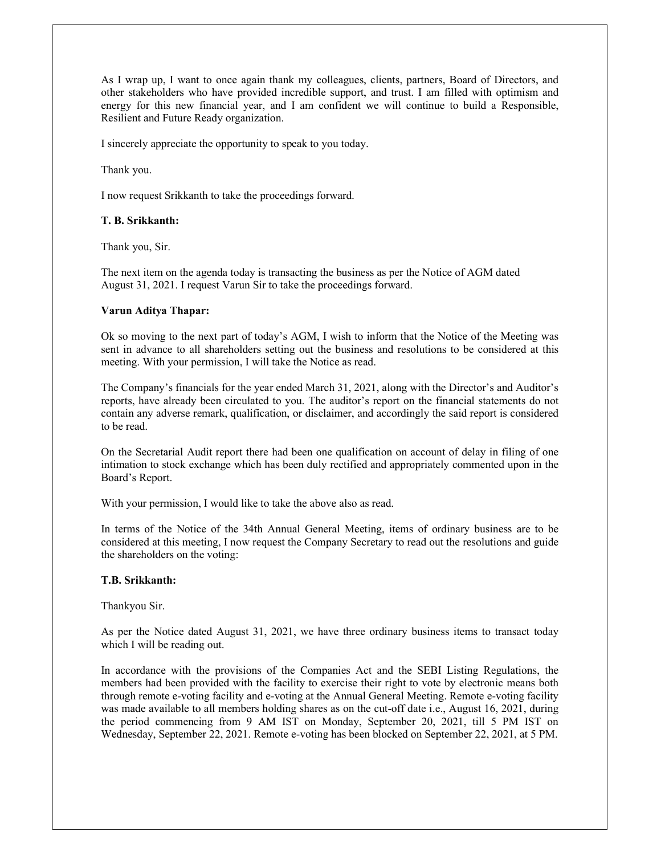As I wrap up, I want to once again thank my colleagues, clients, partners, Board of Directors, and other stakeholders who have provided incredible support, and trust. I am filled with optimism and energy for this new financial year, and I am confident we will continue to build a Responsible, Resilient and Future Ready organization.

I sincerely appreciate the opportunity to speak to you today.

Thank you.

I now request Srikkanth to take the proceedings forward.

#### T. B. Srikkanth:

Thank you, Sir.

The next item on the agenda today is transacting the business as per the Notice of AGM dated August 31, 2021. I request Varun Sir to take the proceedings forward.

#### Varun Aditya Thapar:

Ok so moving to the next part of today's AGM, I wish to inform that the Notice of the Meeting was sent in advance to all shareholders setting out the business and resolutions to be considered at this meeting. With your permission, I will take the Notice as read.

The Company's financials for the year ended March 31, 2021, along with the Director's and Auditor's reports, have already been circulated to you. The auditor's report on the financial statements do not contain any adverse remark, qualification, or disclaimer, and accordingly the said report is considered to be read.

On the Secretarial Audit report there had been one qualification on account of delay in filing of one intimation to stock exchange which has been duly rectified and appropriately commented upon in the Board's Report.

With your permission, I would like to take the above also as read.

In terms of the Notice of the 34th Annual General Meeting, items of ordinary business are to be considered at this meeting, I now request the Company Secretary to read out the resolutions and guide the shareholders on the voting:

## T.B. Srikkanth:

Thankyou Sir.

As per the Notice dated August 31, 2021, we have three ordinary business items to transact today which I will be reading out.

In accordance with the provisions of the Companies Act and the SEBI Listing Regulations, the members had been provided with the facility to exercise their right to vote by electronic means both through remote e-voting facility and e-voting at the Annual General Meeting. Remote e-voting facility was made available to all members holding shares as on the cut-off date i.e., August 16, 2021, during the period commencing from 9 AM IST on Monday, September 20, 2021, till 5 PM IST on Wednesday, September 22, 2021. Remote e-voting has been blocked on September 22, 2021, at 5 PM.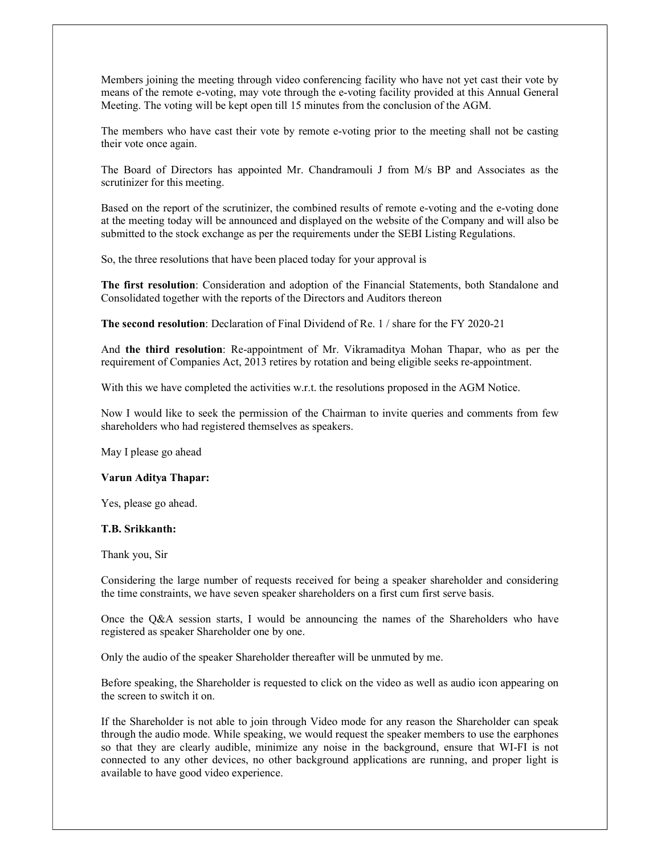Members joining the meeting through video conferencing facility who have not yet cast their vote by means of the remote e-voting, may vote through the e-voting facility provided at this Annual General Meeting. The voting will be kept open till 15 minutes from the conclusion of the AGM.

The members who have cast their vote by remote e-voting prior to the meeting shall not be casting their vote once again.

The Board of Directors has appointed Mr. Chandramouli J from M/s BP and Associates as the scrutinizer for this meeting.

Based on the report of the scrutinizer, the combined results of remote e-voting and the e-voting done at the meeting today will be announced and displayed on the website of the Company and will also be submitted to the stock exchange as per the requirements under the SEBI Listing Regulations.

So, the three resolutions that have been placed today for your approval is

The first resolution: Consideration and adoption of the Financial Statements, both Standalone and Consolidated together with the reports of the Directors and Auditors thereon

The second resolution: Declaration of Final Dividend of Re. 1 / share for the FY 2020-21

And the third resolution: Re-appointment of Mr. Vikramaditya Mohan Thapar, who as per the requirement of Companies Act, 2013 retires by rotation and being eligible seeks re-appointment.

With this we have completed the activities w.r.t. the resolutions proposed in the AGM Notice.

Now I would like to seek the permission of the Chairman to invite queries and comments from few shareholders who had registered themselves as speakers.

May I please go ahead

#### Varun Aditya Thapar:

Yes, please go ahead.

#### T.B. Srikkanth:

Thank you, Sir

Considering the large number of requests received for being a speaker shareholder and considering the time constraints, we have seven speaker shareholders on a first cum first serve basis.

Once the Q&A session starts, I would be announcing the names of the Shareholders who have registered as speaker Shareholder one by one.

Only the audio of the speaker Shareholder thereafter will be unmuted by me.

Before speaking, the Shareholder is requested to click on the video as well as audio icon appearing on the screen to switch it on.

If the Shareholder is not able to join through Video mode for any reason the Shareholder can speak through the audio mode. While speaking, we would request the speaker members to use the earphones so that they are clearly audible, minimize any noise in the background, ensure that WI-FI is not connected to any other devices, no other background applications are running, and proper light is available to have good video experience.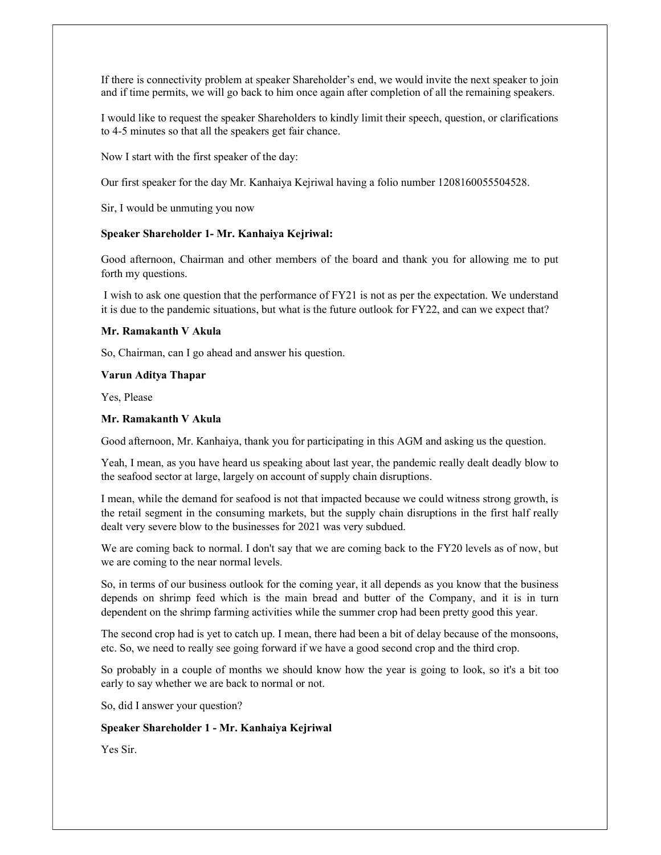If there is connectivity problem at speaker Shareholder's end, we would invite the next speaker to join and if time permits, we will go back to him once again after completion of all the remaining speakers.

I would like to request the speaker Shareholders to kindly limit their speech, question, or clarifications to 4-5 minutes so that all the speakers get fair chance.

Now I start with the first speaker of the day:

Our first speaker for the day Mr. Kanhaiya Kejriwal having a folio number 1208160055504528.

Sir, I would be unmuting you now

#### Speaker Shareholder 1- Mr. Kanhaiya Kejriwal:

Good afternoon, Chairman and other members of the board and thank you for allowing me to put forth my questions.

 I wish to ask one question that the performance of FY21 is not as per the expectation. We understand it is due to the pandemic situations, but what is the future outlook for FY22, and can we expect that?

#### Mr. Ramakanth V Akula

So, Chairman, can I go ahead and answer his question.

Varun Aditya Thapar

Yes, Please

## Mr. Ramakanth V Akula

Good afternoon, Mr. Kanhaiya, thank you for participating in this AGM and asking us the question.

Yeah, I mean, as you have heard us speaking about last year, the pandemic really dealt deadly blow to the seafood sector at large, largely on account of supply chain disruptions.

I mean, while the demand for seafood is not that impacted because we could witness strong growth, is the retail segment in the consuming markets, but the supply chain disruptions in the first half really dealt very severe blow to the businesses for 2021 was very subdued.

We are coming back to normal. I don't say that we are coming back to the FY20 levels as of now, but we are coming to the near normal levels.

So, in terms of our business outlook for the coming year, it all depends as you know that the business depends on shrimp feed which is the main bread and butter of the Company, and it is in turn dependent on the shrimp farming activities while the summer crop had been pretty good this year.

The second crop had is yet to catch up. I mean, there had been a bit of delay because of the monsoons, etc. So, we need to really see going forward if we have a good second crop and the third crop.

So probably in a couple of months we should know how the year is going to look, so it's a bit too early to say whether we are back to normal or not.

So, did I answer your question?

#### Speaker Shareholder 1 - Mr. Kanhaiya Kejriwal

Yes Sir.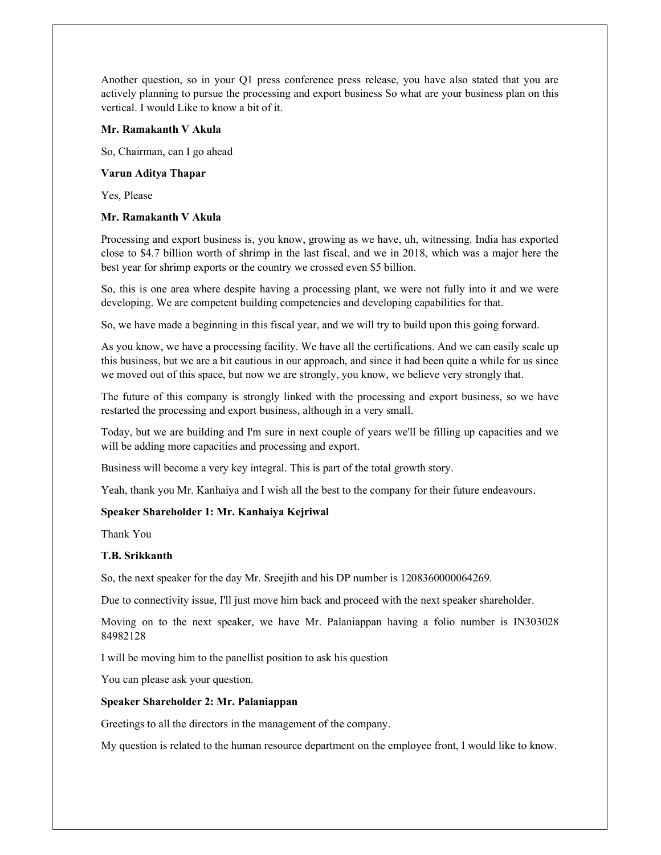Another question, so in your Q1 press conference press release, you have also stated that you are actively planning to pursue the processing and export business So what are your business plan on this vertical. I would Like to know a bit of it.

#### Mr. Ramakanth V Akula

So, Chairman, can I go ahead

#### Varun Aditya Thapar

Yes, Please

## Mr. Ramakanth V Akula

Processing and export business is, you know, growing as we have, uh, witnessing. India has exported close to \$4.7 billion worth of shrimp in the last fiscal, and we in 2018, which was a major here the best year for shrimp exports or the country we crossed even \$5 billion.

So, this is one area where despite having a processing plant, we were not fully into it and we were developing. We are competent building competencies and developing capabilities for that.

So, we have made a beginning in this fiscal year, and we will try to build upon this going forward.

As you know, we have a processing facility. We have all the certifications. And we can easily scale up this business, but we are a bit cautious in our approach, and since it had been quite a while for us since we moved out of this space, but now we are strongly, you know, we believe very strongly that.

The future of this company is strongly linked with the processing and export business, so we have restarted the processing and export business, although in a very small.

Today, but we are building and I'm sure in next couple of years we'll be filling up capacities and we will be adding more capacities and processing and export.

Business will become a very key integral. This is part of the total growth story.

Yeah, thank you Mr. Kanhaiya and I wish all the best to the company for their future endeavours.

## Speaker Shareholder 1: Mr. Kanhaiya Kejriwal

Thank You

## T.B. Srikkanth

So, the next speaker for the day Mr. Sreejith and his DP number is 1208360000064269.

Due to connectivity issue, I'll just move him back and proceed with the next speaker shareholder.

Moving on to the next speaker, we have Mr. Palaniappan having a folio number is IN303028 84982128

I will be moving him to the panellist position to ask his question

You can please ask your question.

## Speaker Shareholder 2: Mr. Palaniappan

Greetings to all the directors in the management of the company.

My question is related to the human resource department on the employee front, I would like to know.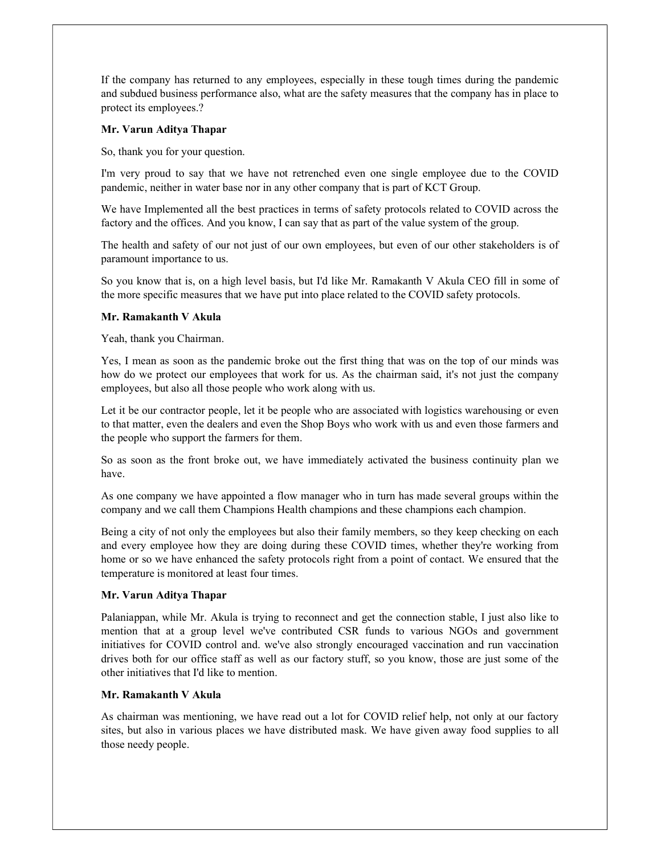If the company has returned to any employees, especially in these tough times during the pandemic and subdued business performance also, what are the safety measures that the company has in place to protect its employees.?

## Mr. Varun Aditya Thapar

So, thank you for your question.

I'm very proud to say that we have not retrenched even one single employee due to the COVID pandemic, neither in water base nor in any other company that is part of KCT Group.

We have Implemented all the best practices in terms of safety protocols related to COVID across the factory and the offices. And you know, I can say that as part of the value system of the group.

The health and safety of our not just of our own employees, but even of our other stakeholders is of paramount importance to us.

So you know that is, on a high level basis, but I'd like Mr. Ramakanth V Akula CEO fill in some of the more specific measures that we have put into place related to the COVID safety protocols.

# Mr. Ramakanth V Akula

Yeah, thank you Chairman.

Yes, I mean as soon as the pandemic broke out the first thing that was on the top of our minds was how do we protect our employees that work for us. As the chairman said, it's not just the company employees, but also all those people who work along with us.

Let it be our contractor people, let it be people who are associated with logistics warehousing or even to that matter, even the dealers and even the Shop Boys who work with us and even those farmers and the people who support the farmers for them.

So as soon as the front broke out, we have immediately activated the business continuity plan we have.

As one company we have appointed a flow manager who in turn has made several groups within the company and we call them Champions Health champions and these champions each champion.

Being a city of not only the employees but also their family members, so they keep checking on each and every employee how they are doing during these COVID times, whether they're working from home or so we have enhanced the safety protocols right from a point of contact. We ensured that the temperature is monitored at least four times.

## Mr. Varun Aditya Thapar

Palaniappan, while Mr. Akula is trying to reconnect and get the connection stable, I just also like to mention that at a group level we've contributed CSR funds to various NGOs and government initiatives for COVID control and. we've also strongly encouraged vaccination and run vaccination drives both for our office staff as well as our factory stuff, so you know, those are just some of the other initiatives that I'd like to mention.

# Mr. Ramakanth V Akula

As chairman was mentioning, we have read out a lot for COVID relief help, not only at our factory sites, but also in various places we have distributed mask. We have given away food supplies to all those needy people.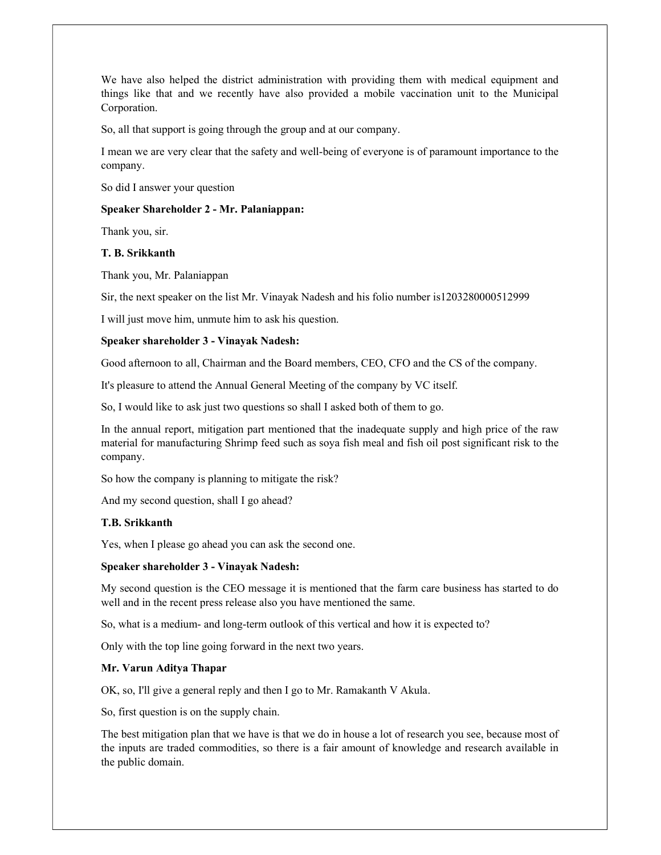We have also helped the district administration with providing them with medical equipment and things like that and we recently have also provided a mobile vaccination unit to the Municipal Corporation.

So, all that support is going through the group and at our company.

I mean we are very clear that the safety and well-being of everyone is of paramount importance to the company.

So did I answer your question

# Speaker Shareholder 2 - Mr. Palaniappan:

Thank you, sir.

## T. B. Srikkanth

Thank you, Mr. Palaniappan

Sir, the next speaker on the list Mr. Vinayak Nadesh and his folio number is1203280000512999

I will just move him, unmute him to ask his question.

## Speaker shareholder 3 - Vinayak Nadesh:

Good afternoon to all, Chairman and the Board members, CEO, CFO and the CS of the company.

It's pleasure to attend the Annual General Meeting of the company by VC itself.

So, I would like to ask just two questions so shall I asked both of them to go.

In the annual report, mitigation part mentioned that the inadequate supply and high price of the raw material for manufacturing Shrimp feed such as soya fish meal and fish oil post significant risk to the company.

So how the company is planning to mitigate the risk?

And my second question, shall I go ahead?

## T.B. Srikkanth

Yes, when I please go ahead you can ask the second one.

## Speaker shareholder 3 - Vinayak Nadesh:

My second question is the CEO message it is mentioned that the farm care business has started to do well and in the recent press release also you have mentioned the same.

So, what is a medium- and long-term outlook of this vertical and how it is expected to?

Only with the top line going forward in the next two years.

## Mr. Varun Aditya Thapar

OK, so, I'll give a general reply and then I go to Mr. Ramakanth V Akula.

So, first question is on the supply chain.

The best mitigation plan that we have is that we do in house a lot of research you see, because most of the inputs are traded commodities, so there is a fair amount of knowledge and research available in the public domain.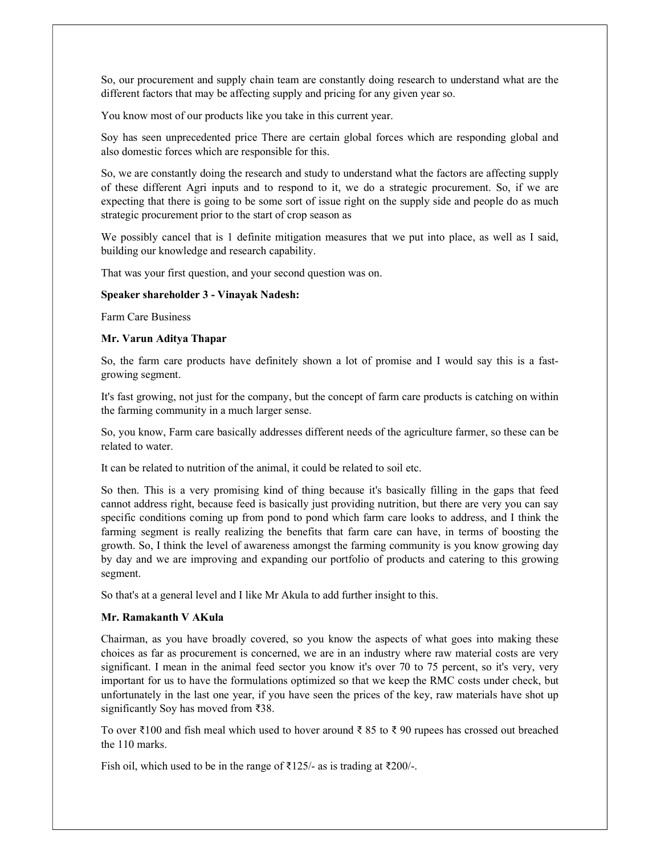So, our procurement and supply chain team are constantly doing research to understand what are the different factors that may be affecting supply and pricing for any given year so.

You know most of our products like you take in this current year.

Soy has seen unprecedented price There are certain global forces which are responding global and also domestic forces which are responsible for this.

So, we are constantly doing the research and study to understand what the factors are affecting supply of these different Agri inputs and to respond to it, we do a strategic procurement. So, if we are expecting that there is going to be some sort of issue right on the supply side and people do as much strategic procurement prior to the start of crop season as

We possibly cancel that is 1 definite mitigation measures that we put into place, as well as I said, building our knowledge and research capability.

That was your first question, and your second question was on.

#### Speaker shareholder 3 - Vinayak Nadesh:

Farm Care Business

#### Mr. Varun Aditya Thapar

So, the farm care products have definitely shown a lot of promise and I would say this is a fastgrowing segment.

It's fast growing, not just for the company, but the concept of farm care products is catching on within the farming community in a much larger sense.

So, you know, Farm care basically addresses different needs of the agriculture farmer, so these can be related to water.

It can be related to nutrition of the animal, it could be related to soil etc.

So then. This is a very promising kind of thing because it's basically filling in the gaps that feed cannot address right, because feed is basically just providing nutrition, but there are very you can say specific conditions coming up from pond to pond which farm care looks to address, and I think the farming segment is really realizing the benefits that farm care can have, in terms of boosting the growth. So, I think the level of awareness amongst the farming community is you know growing day by day and we are improving and expanding our portfolio of products and catering to this growing segment.

So that's at a general level and I like Mr Akula to add further insight to this.

## Mr. Ramakanth V AKula

Chairman, as you have broadly covered, so you know the aspects of what goes into making these choices as far as procurement is concerned, we are in an industry where raw material costs are very significant. I mean in the animal feed sector you know it's over 70 to 75 percent, so it's very, very important for us to have the formulations optimized so that we keep the RMC costs under check, but unfortunately in the last one year, if you have seen the prices of the key, raw materials have shot up significantly Soy has moved from ₹38.

To over ₹100 and fish meal which used to hover around ₹ 85 to ₹ 90 rupees has crossed out breached the 110 marks.

Fish oil, which used to be in the range of ₹125/- as is trading at ₹200/-.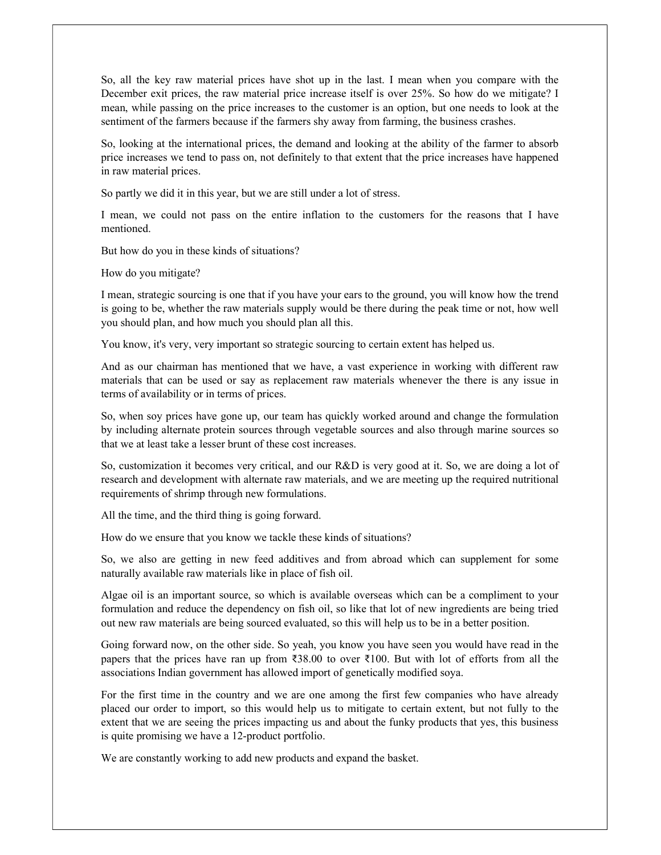So, all the key raw material prices have shot up in the last. I mean when you compare with the December exit prices, the raw material price increase itself is over 25%. So how do we mitigate? I mean, while passing on the price increases to the customer is an option, but one needs to look at the sentiment of the farmers because if the farmers shy away from farming, the business crashes.

So, looking at the international prices, the demand and looking at the ability of the farmer to absorb price increases we tend to pass on, not definitely to that extent that the price increases have happened in raw material prices.

So partly we did it in this year, but we are still under a lot of stress.

I mean, we could not pass on the entire inflation to the customers for the reasons that I have mentioned.

But how do you in these kinds of situations?

How do you mitigate?

I mean, strategic sourcing is one that if you have your ears to the ground, you will know how the trend is going to be, whether the raw materials supply would be there during the peak time or not, how well you should plan, and how much you should plan all this.

You know, it's very, very important so strategic sourcing to certain extent has helped us.

And as our chairman has mentioned that we have, a vast experience in working with different raw materials that can be used or say as replacement raw materials whenever the there is any issue in terms of availability or in terms of prices.

So, when soy prices have gone up, our team has quickly worked around and change the formulation by including alternate protein sources through vegetable sources and also through marine sources so that we at least take a lesser brunt of these cost increases.

So, customization it becomes very critical, and our R&D is very good at it. So, we are doing a lot of research and development with alternate raw materials, and we are meeting up the required nutritional requirements of shrimp through new formulations.

All the time, and the third thing is going forward.

How do we ensure that you know we tackle these kinds of situations?

So, we also are getting in new feed additives and from abroad which can supplement for some naturally available raw materials like in place of fish oil.

Algae oil is an important source, so which is available overseas which can be a compliment to your formulation and reduce the dependency on fish oil, so like that lot of new ingredients are being tried out new raw materials are being sourced evaluated, so this will help us to be in a better position.

Going forward now, on the other side. So yeah, you know you have seen you would have read in the papers that the prices have ran up from ₹38.00 to over ₹100. But with lot of efforts from all the associations Indian government has allowed import of genetically modified soya.

For the first time in the country and we are one among the first few companies who have already placed our order to import, so this would help us to mitigate to certain extent, but not fully to the extent that we are seeing the prices impacting us and about the funky products that yes, this business is quite promising we have a 12-product portfolio.

We are constantly working to add new products and expand the basket.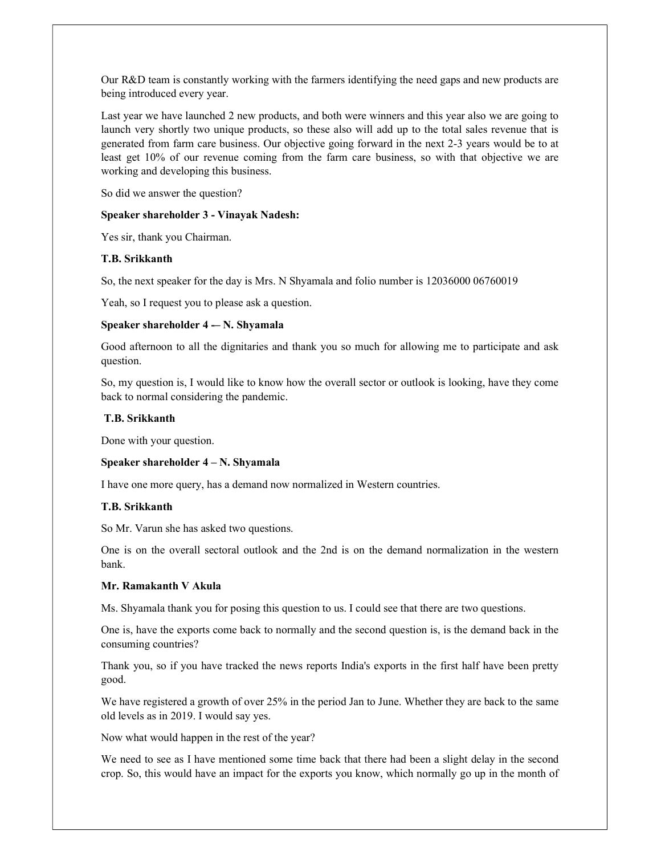Our R&D team is constantly working with the farmers identifying the need gaps and new products are being introduced every year.

Last year we have launched 2 new products, and both were winners and this year also we are going to launch very shortly two unique products, so these also will add up to the total sales revenue that is generated from farm care business. Our objective going forward in the next 2-3 years would be to at least get 10% of our revenue coming from the farm care business, so with that objective we are working and developing this business.

So did we answer the question?

#### Speaker shareholder 3 - Vinayak Nadesh:

Yes sir, thank you Chairman.

#### T.B. Srikkanth

So, the next speaker for the day is Mrs. N Shyamala and folio number is 12036000 06760019

Yeah, so I request you to please ask a question.

#### Speaker shareholder  $4 - N$ . Shyamala

Good afternoon to all the dignitaries and thank you so much for allowing me to participate and ask question.

So, my question is, I would like to know how the overall sector or outlook is looking, have they come back to normal considering the pandemic.

#### T.B. Srikkanth

Done with your question.

#### Speaker shareholder 4 – N. Shyamala

I have one more query, has a demand now normalized in Western countries.

#### T.B. Srikkanth

So Mr. Varun she has asked two questions.

One is on the overall sectoral outlook and the 2nd is on the demand normalization in the western bank.

## Mr. Ramakanth V Akula

Ms. Shyamala thank you for posing this question to us. I could see that there are two questions.

One is, have the exports come back to normally and the second question is, is the demand back in the consuming countries?

Thank you, so if you have tracked the news reports India's exports in the first half have been pretty good.

We have registered a growth of over 25% in the period Jan to June. Whether they are back to the same old levels as in 2019. I would say yes.

Now what would happen in the rest of the year?

We need to see as I have mentioned some time back that there had been a slight delay in the second crop. So, this would have an impact for the exports you know, which normally go up in the month of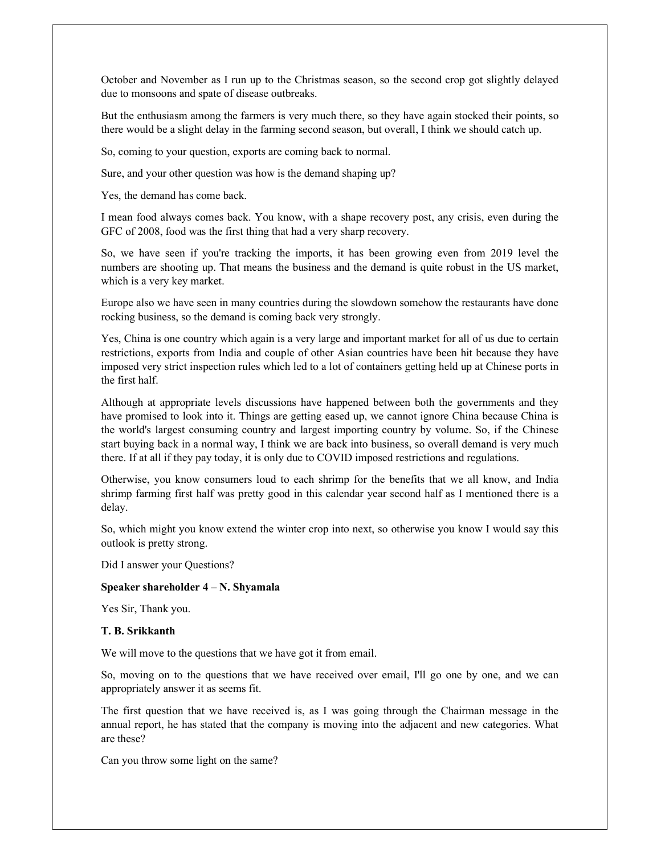October and November as I run up to the Christmas season, so the second crop got slightly delayed due to monsoons and spate of disease outbreaks.

But the enthusiasm among the farmers is very much there, so they have again stocked their points, so there would be a slight delay in the farming second season, but overall, I think we should catch up.

So, coming to your question, exports are coming back to normal.

Sure, and your other question was how is the demand shaping up?

Yes, the demand has come back.

I mean food always comes back. You know, with a shape recovery post, any crisis, even during the GFC of 2008, food was the first thing that had a very sharp recovery.

So, we have seen if you're tracking the imports, it has been growing even from 2019 level the numbers are shooting up. That means the business and the demand is quite robust in the US market, which is a very key market.

Europe also we have seen in many countries during the slowdown somehow the restaurants have done rocking business, so the demand is coming back very strongly.

Yes, China is one country which again is a very large and important market for all of us due to certain restrictions, exports from India and couple of other Asian countries have been hit because they have imposed very strict inspection rules which led to a lot of containers getting held up at Chinese ports in the first half.

Although at appropriate levels discussions have happened between both the governments and they have promised to look into it. Things are getting eased up, we cannot ignore China because China is the world's largest consuming country and largest importing country by volume. So, if the Chinese start buying back in a normal way, I think we are back into business, so overall demand is very much there. If at all if they pay today, it is only due to COVID imposed restrictions and regulations.

Otherwise, you know consumers loud to each shrimp for the benefits that we all know, and India shrimp farming first half was pretty good in this calendar year second half as I mentioned there is a delay.

So, which might you know extend the winter crop into next, so otherwise you know I would say this outlook is pretty strong.

Did I answer your Questions?

## Speaker shareholder 4 – N. Shyamala

Yes Sir, Thank you.

#### T. B. Srikkanth

We will move to the questions that we have got it from email.

So, moving on to the questions that we have received over email, I'll go one by one, and we can appropriately answer it as seems fit.

The first question that we have received is, as I was going through the Chairman message in the annual report, he has stated that the company is moving into the adjacent and new categories. What are these?

Can you throw some light on the same?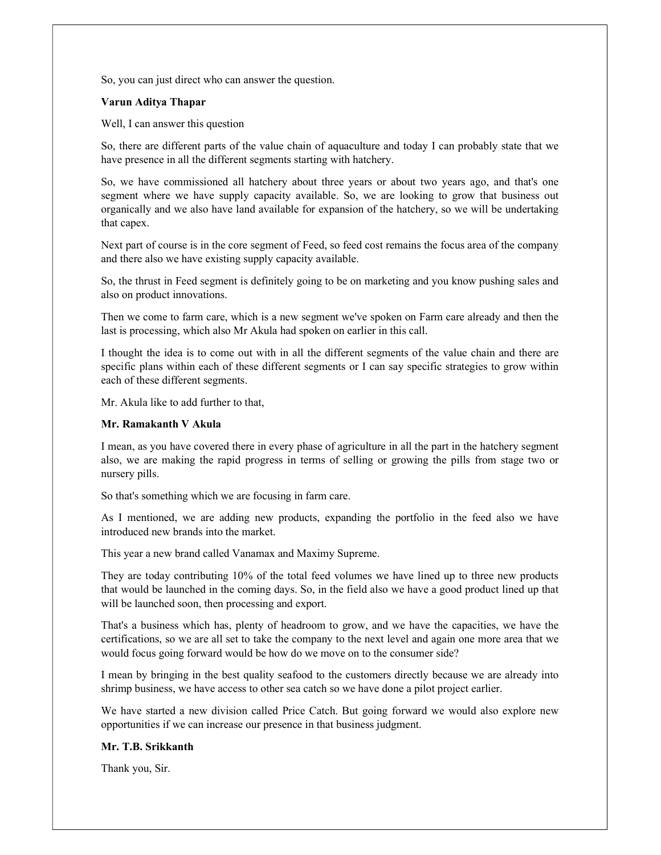So, you can just direct who can answer the question.

#### Varun Aditya Thapar

Well, I can answer this question

So, there are different parts of the value chain of aquaculture and today I can probably state that we have presence in all the different segments starting with hatchery.

So, we have commissioned all hatchery about three years or about two years ago, and that's one segment where we have supply capacity available. So, we are looking to grow that business out organically and we also have land available for expansion of the hatchery, so we will be undertaking that capex.

Next part of course is in the core segment of Feed, so feed cost remains the focus area of the company and there also we have existing supply capacity available.

So, the thrust in Feed segment is definitely going to be on marketing and you know pushing sales and also on product innovations.

Then we come to farm care, which is a new segment we've spoken on Farm care already and then the last is processing, which also Mr Akula had spoken on earlier in this call.

I thought the idea is to come out with in all the different segments of the value chain and there are specific plans within each of these different segments or I can say specific strategies to grow within each of these different segments.

Mr. Akula like to add further to that,

#### Mr. Ramakanth V Akula

I mean, as you have covered there in every phase of agriculture in all the part in the hatchery segment also, we are making the rapid progress in terms of selling or growing the pills from stage two or nursery pills.

So that's something which we are focusing in farm care.

As I mentioned, we are adding new products, expanding the portfolio in the feed also we have introduced new brands into the market.

This year a new brand called Vanamax and Maximy Supreme.

They are today contributing 10% of the total feed volumes we have lined up to three new products that would be launched in the coming days. So, in the field also we have a good product lined up that will be launched soon, then processing and export.

That's a business which has, plenty of headroom to grow, and we have the capacities, we have the certifications, so we are all set to take the company to the next level and again one more area that we would focus going forward would be how do we move on to the consumer side?

I mean by bringing in the best quality seafood to the customers directly because we are already into shrimp business, we have access to other sea catch so we have done a pilot project earlier.

We have started a new division called Price Catch. But going forward we would also explore new opportunities if we can increase our presence in that business judgment.

## Mr. T.B. Srikkanth

Thank you, Sir.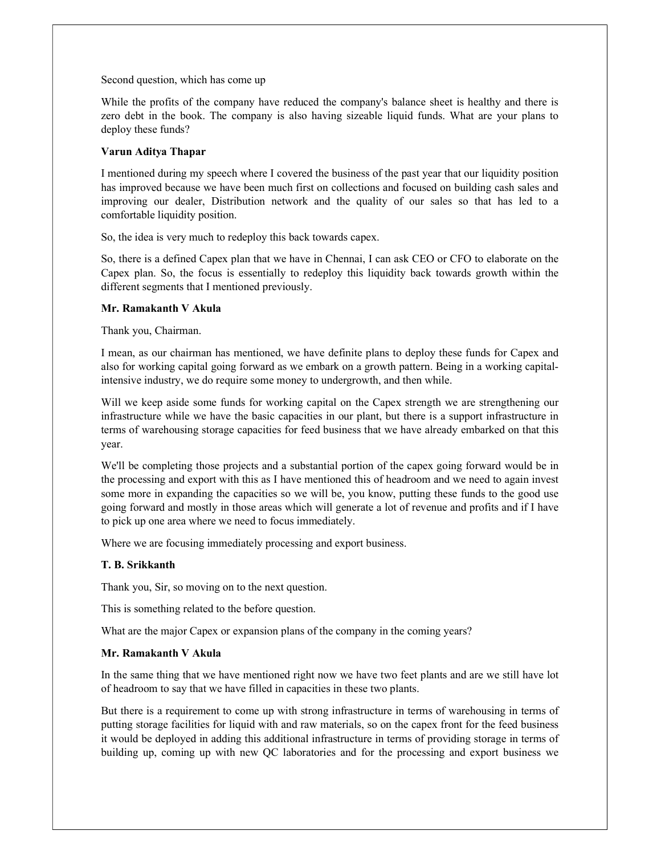Second question, which has come up

While the profits of the company have reduced the company's balance sheet is healthy and there is zero debt in the book. The company is also having sizeable liquid funds. What are your plans to deploy these funds?

## Varun Aditya Thapar

I mentioned during my speech where I covered the business of the past year that our liquidity position has improved because we have been much first on collections and focused on building cash sales and improving our dealer, Distribution network and the quality of our sales so that has led to a comfortable liquidity position.

So, the idea is very much to redeploy this back towards capex.

So, there is a defined Capex plan that we have in Chennai, I can ask CEO or CFO to elaborate on the Capex plan. So, the focus is essentially to redeploy this liquidity back towards growth within the different segments that I mentioned previously.

# Mr. Ramakanth V Akula

Thank you, Chairman.

I mean, as our chairman has mentioned, we have definite plans to deploy these funds for Capex and also for working capital going forward as we embark on a growth pattern. Being in a working capitalintensive industry, we do require some money to undergrowth, and then while.

Will we keep aside some funds for working capital on the Capex strength we are strengthening our infrastructure while we have the basic capacities in our plant, but there is a support infrastructure in terms of warehousing storage capacities for feed business that we have already embarked on that this year.

We'll be completing those projects and a substantial portion of the capex going forward would be in the processing and export with this as I have mentioned this of headroom and we need to again invest some more in expanding the capacities so we will be, you know, putting these funds to the good use going forward and mostly in those areas which will generate a lot of revenue and profits and if I have to pick up one area where we need to focus immediately.

Where we are focusing immediately processing and export business.

# T. B. Srikkanth

Thank you, Sir, so moving on to the next question.

This is something related to the before question.

What are the major Capex or expansion plans of the company in the coming years?

## Mr. Ramakanth V Akula

In the same thing that we have mentioned right now we have two feet plants and are we still have lot of headroom to say that we have filled in capacities in these two plants.

But there is a requirement to come up with strong infrastructure in terms of warehousing in terms of putting storage facilities for liquid with and raw materials, so on the capex front for the feed business it would be deployed in adding this additional infrastructure in terms of providing storage in terms of building up, coming up with new QC laboratories and for the processing and export business we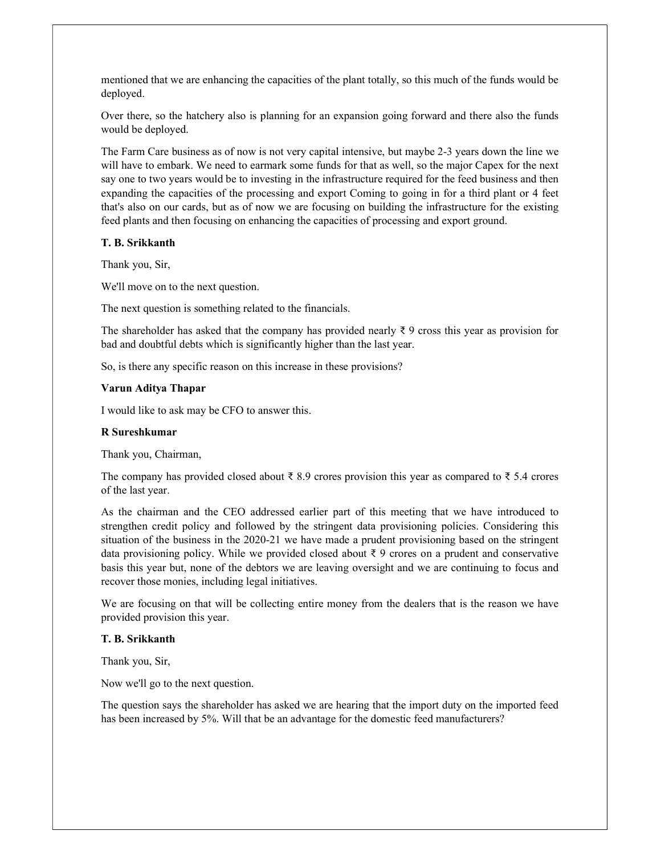mentioned that we are enhancing the capacities of the plant totally, so this much of the funds would be deployed.

Over there, so the hatchery also is planning for an expansion going forward and there also the funds would be deployed.

The Farm Care business as of now is not very capital intensive, but maybe 2-3 years down the line we will have to embark. We need to earmark some funds for that as well, so the major Capex for the next say one to two years would be to investing in the infrastructure required for the feed business and then expanding the capacities of the processing and export Coming to going in for a third plant or 4 feet that's also on our cards, but as of now we are focusing on building the infrastructure for the existing feed plants and then focusing on enhancing the capacities of processing and export ground.

#### T. B. Srikkanth

Thank you, Sir,

We'll move on to the next question.

The next question is something related to the financials.

The shareholder has asked that the company has provided nearly  $\bar{\zeta}$  9 cross this year as provision for bad and doubtful debts which is significantly higher than the last year.

So, is there any specific reason on this increase in these provisions?

#### Varun Aditya Thapar

I would like to ask may be CFO to answer this.

#### R Sureshkumar

Thank you, Chairman,

The company has provided closed about  $\bar{\xi}$  8.9 crores provision this year as compared to  $\bar{\xi}$  5.4 crores of the last year.

As the chairman and the CEO addressed earlier part of this meeting that we have introduced to strengthen credit policy and followed by the stringent data provisioning policies. Considering this situation of the business in the 2020-21 we have made a prudent provisioning based on the stringent data provisioning policy. While we provided closed about ₹ 9 crores on a prudent and conservative basis this year but, none of the debtors we are leaving oversight and we are continuing to focus and recover those monies, including legal initiatives.

We are focusing on that will be collecting entire money from the dealers that is the reason we have provided provision this year.

## T. B. Srikkanth

Thank you, Sir,

Now we'll go to the next question.

The question says the shareholder has asked we are hearing that the import duty on the imported feed has been increased by 5%. Will that be an advantage for the domestic feed manufacturers?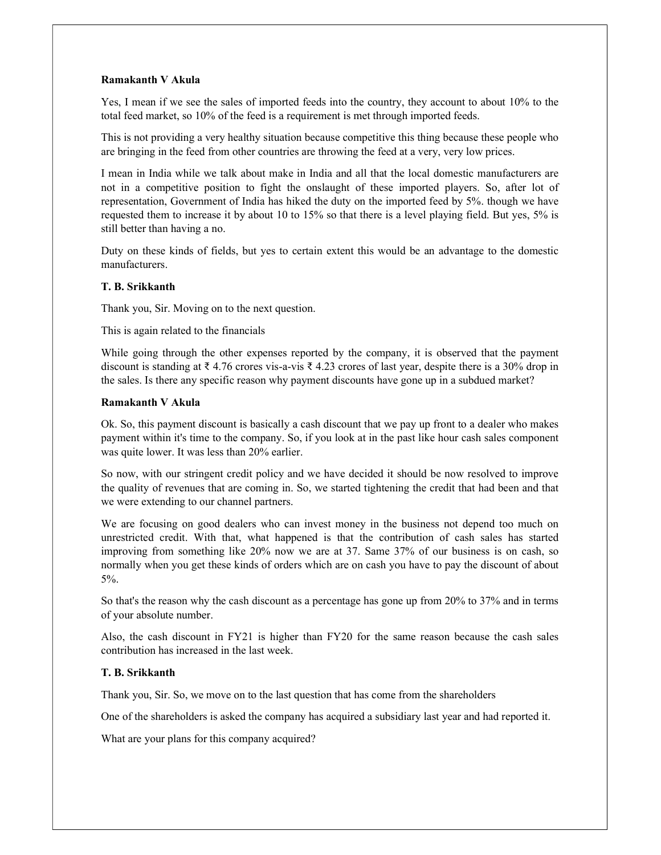## Ramakanth V Akula

Yes, I mean if we see the sales of imported feeds into the country, they account to about 10% to the total feed market, so 10% of the feed is a requirement is met through imported feeds.

This is not providing a very healthy situation because competitive this thing because these people who are bringing in the feed from other countries are throwing the feed at a very, very low prices.

I mean in India while we talk about make in India and all that the local domestic manufacturers are not in a competitive position to fight the onslaught of these imported players. So, after lot of representation, Government of India has hiked the duty on the imported feed by 5%. though we have requested them to increase it by about 10 to 15% so that there is a level playing field. But yes, 5% is still better than having a no.

Duty on these kinds of fields, but yes to certain extent this would be an advantage to the domestic manufacturers.

#### T. B. Srikkanth

Thank you, Sir. Moving on to the next question.

This is again related to the financials

While going through the other expenses reported by the company, it is observed that the payment discount is standing at ₹ 4.76 crores vis-a-vis ₹ 4.23 crores of last year, despite there is a 30% drop in the sales. Is there any specific reason why payment discounts have gone up in a subdued market?

#### Ramakanth V Akula

Ok. So, this payment discount is basically a cash discount that we pay up front to a dealer who makes payment within it's time to the company. So, if you look at in the past like hour cash sales component was quite lower. It was less than 20% earlier.

So now, with our stringent credit policy and we have decided it should be now resolved to improve the quality of revenues that are coming in. So, we started tightening the credit that had been and that we were extending to our channel partners.

We are focusing on good dealers who can invest money in the business not depend too much on unrestricted credit. With that, what happened is that the contribution of cash sales has started improving from something like 20% now we are at 37. Same 37% of our business is on cash, so normally when you get these kinds of orders which are on cash you have to pay the discount of about 5%.

So that's the reason why the cash discount as a percentage has gone up from 20% to 37% and in terms of your absolute number.

Also, the cash discount in FY21 is higher than FY20 for the same reason because the cash sales contribution has increased in the last week.

## T. B. Srikkanth

Thank you, Sir. So, we move on to the last question that has come from the shareholders

One of the shareholders is asked the company has acquired a subsidiary last year and had reported it.

What are your plans for this company acquired?